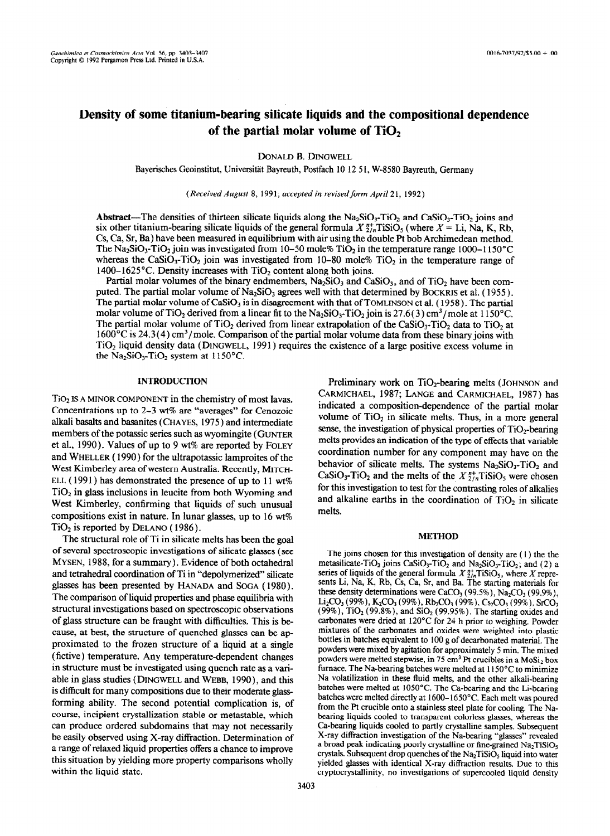# **Density of some titanium-bearing silicate liquids and the compositional dependence** of the partial molar volume of TiO<sub>2</sub>

**DONALD** B. DINGWELL

Bayerisches Geoinstitut, Universität Bayreuth, Postfach 10 12 51, W-8580 Bayreuth, Germany

*(Received August 8,* 199 1; *accepted in revised form April 2* 1, 1992 )

Abstract—The densities of thirteen silicate liquids along the  $Na_2SiO_3$ -TiO<sub>2</sub> and CaSiO<sub>3</sub>-TiO<sub>2</sub> joins and six other titanium-bearing silicate liquids of the general formula  $X_{2n}^{n+1}TISIO_5$  (where  $X = Li$ , Na, K, Rb, Cs, Ca, Sr, Ba) have been measured in equilibrium with air using the double Pt bob Archimedean method. The Na<sub>2</sub>SiO<sub>3</sub>-TiO<sub>2</sub> join was investigated from 10-50 mole% TiO<sub>2</sub> in the temperature range 1000-1150°C whereas the CaSiO<sub>3</sub>-TiO<sub>2</sub> join was investigated from 10-80 mole% TiO<sub>2</sub> in the temperature range of 1400–1625°C. Density increases with  $TiO<sub>2</sub>$  content along both joins.

Partial molar volumes of the binary endmembers,  $Na<sub>2</sub>SiO<sub>3</sub>$  and CaSiO<sub>3</sub>, and of TiO<sub>2</sub> have been computed. The partial molar volume of  $Na_2SiO_3$  agrees well with that determined by BOCKRIS et al. (1955). The partial molar volume of  $CaSiO<sub>3</sub>$  is in disagreement with that of TOMLINSON et al. (1958). The partial molar volume of TiO<sub>2</sub> derived from a linear fit to the Na<sub>2</sub>SiO<sub>3</sub>-TiO<sub>2</sub> join is 27.6(3) cm<sup>3</sup>/mole at 1150°C. The partial molar volume of TiO<sub>2</sub> derived from linear extrapolation of the CaSiO<sub>3</sub>-TiO<sub>2</sub> data to TiO<sub>2</sub> at  $1600^{\circ}$ C is 24.3(4) cm<sup>3</sup>/mole. Comparison of the partial molar volume data from these binary joins with TiO<sub>2</sub> liquid density data (DINGWELL, 1991) requires the existence of a large positive excess volume in the Na<sub>2</sub>SiO<sub>3</sub>-TiO<sub>2</sub> system at  $1150^{\circ}$ C.

## **INTRODUCTION**

TiO<sub>2</sub> IS A MINOR COMPONENT in the chemistry of most lavas. Concentrations up to 2-3 wt% are "averages" for Cenozoic alkali basalts and basanites ( CHAYES, 1975 ) and intermediate members of the potassic series such as wyomingite ( GUNTER et al., 1990). Values of up to 9 wt% are reported by FOLEY and WHELLER ( 1990) for the ultrapotassic lamproites of the West Kimberley area of western Australia. Recently, MITCH-ELL (1991) has demonstrated the presence of up to 11 wt%  $TiO<sub>2</sub>$  in glass inclusions in leucite from both Wyoming and West Kimberley, confirming that liquids of such unusual compositions exist in nature. In lunar glasses, up to 16 wt%  $TiO<sub>2</sub>$  is reported by DELANO (1986).

The structural role of Ti in silicate melts has been the goal of several spectroscopic investigations of silicate glasses (see MYSEN, 1988, for a summary). Evidence of both octahedral and tetrahedral coordination of Ti in "depolymerized" silicate glasses has been presented by HANADA and SOGA ( 1980). The comparison of liquid properties and phase equilibria with structural investigations based on spectroscopic observations of glass structure can be fraught with difficulties. This is because, at best, the structure of quenched glasses can be ap proximated to the frozen structure of a liquid at a single (fictive) temperature. Any temperature-dependent changes in structure must be investigated using quench rate as a variable in glass studies ( DINGWELL and WEBB, 1990)) and this is difficult for many compositions due to their moderate glassforming ability. The second potential complication is, of course, incipient crystallization stable or metastable, which can produce ordered subdomains that may not necessarily be easily observed using X-ray diffraction. Determination of a range of relaxed liquid properties offers a chance to improve this situation by yielding more property comparisons wholly within the liquid state.

Preliminary work on  $TiO<sub>2</sub>$ -bearing melts (JOHNSON and CARMICHAEL, 1987; LANGE and CARMICHAEL, 1987) has indicated a composition-dependence of the partial molar volume of  $TiO<sub>2</sub>$  in silicate melts. Thus, in a more general sense, the investigation of physical properties of  $TiO<sub>2</sub>$ -bearing melts provides an indication of the type of effects that variable coordination number for any component may have on the behavior of silicate melts. The systems  $Na<sub>2</sub>SiO<sub>3</sub>-TiO<sub>2</sub>$  and CaSiO<sub>3</sub>-TiO<sub>2</sub> and the melts of the  $X_{2/n}^{n+}$ TiSiO<sub>5</sub> were chosen for this investigation to test for the contrasting roles of alkalies and alkaline earths in the coordination of  $TiO<sub>2</sub>$  in silicate melts.

#### METHOD

The joins chosen for this investigation of density are ( 1) the the metasilicate-TiO<sub>2</sub> joins CaSiO<sub>3</sub>-TiO<sub>2</sub> and Na<sub>2</sub>SiO<sub>3</sub>-TiO<sub>2</sub>; and (2) a series of liquids of the general formula  $X_{\frac{2}{n}}^{n+}$ TiSiO<sub>s</sub>, where X represents Li, Na, K, Rb, Cs, Ca, Sr, and Ba. The starting materials for these density determinations were CaCO<sub>3</sub> (99.5%), Na<sub>2</sub>CO<sub>3</sub> (99.9%),  $Li<sub>2</sub>CO<sub>3</sub>$  (99%), K<sub>2</sub>CO<sub>3</sub> (99%), Rb<sub>2</sub>CO<sub>3</sub> (99%), Cs<sub>2</sub>CO<sub>3</sub> (99%), SrCO<sub>3</sub> (99%), TiO<sub>2</sub> (99.8%), and SiO<sub>2</sub> (99.95%). The starting oxides and carbonates were dried at 12O'C for 24 h prior to weighing. Powder mixtures of the carbonates and oxides were weighted into plastic bottles in batches equivalent to 100 g of decarbonated material. The powders were mixed by agitation for approximately 5 min. The mixed powders were melted stepwise, in 75 cm<sup>3</sup> Pt crucibles in a  $MoSi<sub>2</sub>$  box furnace. The Na-bearing batches were melted at 1150°C to minimize Na volatilization in these fluid melts. and the other alkali-bearing batches were melted at 1050°C. The Ca-bearing and the Li-bearing batches were melted directly at 1600-1650°C. Each melt was poured from the Pt crucible onto a stainless steel plate for cooling. The Nabearing liquids cooled to transparent colorless glasses, whereas the Ca-bearing liquids cooled to partly crystalline samples. Subsequent X-ray diffraction investigation of the Na-bearing "glasses" revealed a broad peak indicating poorly crystalline or fine-grained  $Na<sub>2</sub>TiSiO<sub>5</sub>$ crystals. Subsequent drop quenches of the  $Na<sub>2</sub>TiSiO<sub>5</sub>$  liquid into water yielded glasses with identical X-ray diffraction results. Due to this cryptocrystallinity, no investigations of supercooled liquid density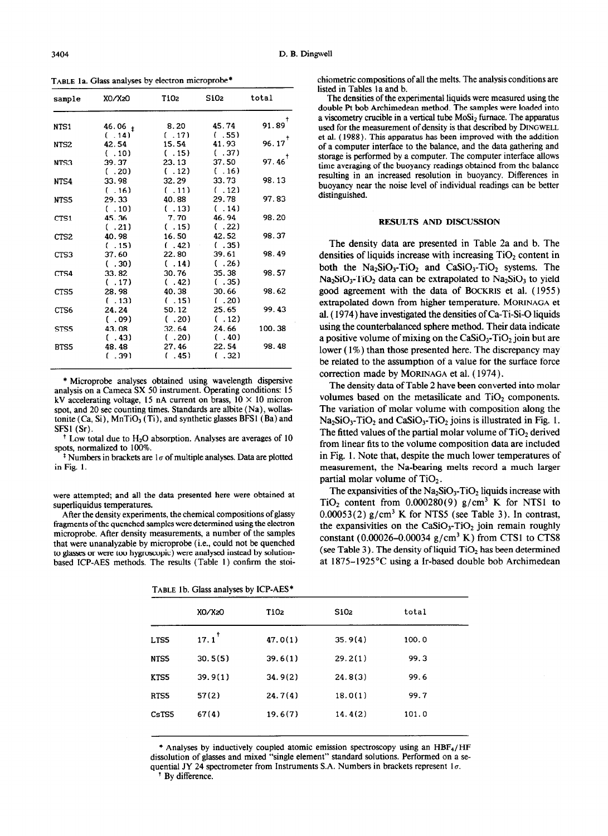**TABLE** la. Glass analyses by electron microprobe\*

| sample           | XO/X20             | T102   | Si02           | total                |
|------------------|--------------------|--------|----------------|----------------------|
| NTS1             |                    | 8.20   | 45.74          | $91.89$ <sup>†</sup> |
|                  | $46.06_t$<br>(.14) | ( .17) | (.55)          |                      |
| NTS <sub>2</sub> | 42.54              | 15.54  | 41.93          | $96.17$ <sup>†</sup> |
|                  | (.10)              | ( .15) | (.37)          |                      |
| NTS3             | 39.37              | 23.13  | 37.50          | $97.46$ <sup>†</sup> |
|                  | (.20)              | ( .12) | (.16)          |                      |
| NTS4             | 33.98              | 32.29  | 33.73          | 98.13                |
|                  | ( .16)             | ( .11) | ( .12)         |                      |
| NTS5             | 29.33              | 40.88  | 29.78          | 97.83                |
|                  | ( .10)             | ( .13) | ( .14)         |                      |
| CTS1             | 45.36              | 7.70   | 46.94          | 98.20                |
|                  | (.21)              | ( .15) | (.22)          |                      |
| CTS <sub>2</sub> | 40.98              | 16.50  | 42.52          | 98.37                |
|                  | (.15)              | ( .42) | (.35)          |                      |
| CTS3             | 37.60              | 22.80  | 39.61          | 98.49                |
|                  | (.30)              | (.14)  | (.26)          |                      |
| CTS4             | 33.82              | 30.76  | 35.38          | 98.57                |
|                  | ( .17)             | (.42)  | (.35)          |                      |
| CTS5             | 28.98              | 40.38  | 30.66          | 98.62                |
|                  | ( .13)             | ( .15) | (.20)          |                      |
| CTS6             | 24.24              | 50.12  | 25.65          | 99.43                |
|                  | (0.09)             | (.20)  | (.12)          |                      |
| STS5             | 43.08              | 32.64  | 24.66          | 100.38               |
|                  | (.43)              | (.20)  | (.40)          |                      |
| BTS5             | 48.48              | 27.46  | 22.54<br>(.32) | 98.48                |
|                  | ( .39)             | (.45)  |                |                      |

\* Microprobe analyses obtained using wavelength dispersive analysis on a Cameca SX 50 instrument. Operating conditions: I5 kV accelerating voltage, 15 nA current on brass,  $10 \times 10$  micron spot, and 20 set counting times. Standards are albite ( **Na) ,** wollastonite  $(Ca, Si)$ ,  $MnTiO<sub>3</sub>(Ti)$ , and synthetic glasses BFS1 (Ba) and SFSl (Sr).

 $<sup>†</sup>$  Low total due to H<sub>2</sub>O absorption. Analyses are averages of 10</sup> spots, normalized to 100%.

<sup>‡</sup> Numbers in brackets are  $1\sigma$  of multiple analyses. Data are plotted in Fig. 1.

were attempted; and all the data presented here were obtained at superliquidus temperatures.

After the density experiments, the chemical compositions of glassy fragments of the quenched samples were determined using the electron microprobe. After density measurements, a number of the samples that were unanalyzable by microprobe (i.e., could not be quenched to glasses or were too hygroscopic) were analysed instead by solutionbased ICP-AES methods. The results (Table 1) confirm the stoi-

|  | TABLE 1b. Glass analyses by ICP-AES* |
|--|--------------------------------------|
|  |                                      |

chiometric compositions of all the melts. The analysis conditions are listed in Tables la and b.

The densities of the experimental liquids were measured using the double Pt bob Archimedean method. The samples were loaded into a viscometry crucible in a vertical tube  $M_0$ Si<sub>2</sub> furnace. The apparatus used for the measurement of density is that described by **DINGWELL**  et al. ( 1988). This apparatus has been improved with the addition of a computer interface to the balance, and the data gathering and storage is performed by a computer. The computer interface allows time averaging of the buoyancy readings obtained from the balance resulting in an increased resolution in buoyancy. Differences in buoyancy near the noise level of individual readings can be better distinguished.

#### RESULTS AND DISCUSSION

The density data are presented in Table 2a and b. The densities of liquids increase with increasing  $TiO<sub>2</sub>$  content in both the  $Na_2SiO_3-TiO_2$  and  $CaSiO_3-TiO_2$  systems. The  $Na<sub>2</sub>SiO<sub>3</sub>$ -TiO<sub>2</sub> data can be extrapolated to  $Na<sub>2</sub>SiO<sub>3</sub>$  to yield good agreement with the data of **BOCKRIS** et al. ( 1955) extrapolated down from higher temperature. **MORINAGA** et aI. ( **1974)** have investigated the densities of Ca-Ti-Si-0 liquids using the counterbalanced sphere method. Their data indicate a positive volume of mixing on the  $CaSiO<sub>3</sub>-TiO<sub>2</sub>$  join but are lower ( 1%) than those presented here. The discrepancy may be related to the assumption of a value for the surface force correction made by **MORINAGA** et al. ( 1974).

The density data of Table 2 have been converted into molar volumes based on the metasilicate and  $TiO<sub>2</sub>$  components. The variation of molar volume with composition along the  $Na<sub>2</sub>SiO<sub>3</sub>$ -TiO<sub>2</sub> and CaSiO<sub>3</sub>-TiO<sub>2</sub> joins is illustrated in Fig. 1. The fitted values of the partial molar volume of TiO<sub>2</sub> derived from linear fits to the volume composition data are included in Fig. 1. Note that, despite the much lower temperatures of measurement, the Na-bearing melts record a much larger partial molar volume of  $TiO<sub>2</sub>$ .

The expansivities of the  $Na<sub>2</sub>SiO<sub>3</sub>-TiO<sub>2</sub>$  liquids increase with TiO<sub>2</sub> content from  $0.000280(9)$  g/cm<sup>3</sup> K for NTS1 to  $0.00053(2)$  g/cm<sup>3</sup> K for NTS5 (see Table 3). In contrast, the expansivities on the CaSiO<sub>3</sub>-TiO<sub>2</sub> join remain roughly constant (0.00026–0.00034  $g/cm<sup>3</sup>$  K) from CTS1 to CTS8 (see Table 3). The density of liquid  $TiO<sub>2</sub>$  has been determined at 1875-1925°C using a Ir-based double bob Archimedean

|       | XO/X20           | TiO <sub>2</sub> | SiO <sub>2</sub> | total |  |
|-------|------------------|------------------|------------------|-------|--|
| LTS5  | $17.1^{\dagger}$ | 47.0(1)          | 35.9(4)          | 100.0 |  |
| NTS5  | 30.5(5)          | 39.6(1)          | 29.2(1)          | 99.3  |  |
| KTS5  | 39.9(1)          | 34.9(2)          | 24.8(3)          | 99.6  |  |
| RTS5  | 57(2)            | 24.7(4)          | 18.0(1)          | 99.7  |  |
| CsTS5 | 67(4)            | 19.6(7)          | 14.4(2)          | 101.0 |  |
|       |                  |                  |                  |       |  |

\* Analyses by inductively coupled atomic emission spectroscopy using an  $HBF<sub>4</sub>/HF$ dissolution of glasses and mixed "single element" standard solutions. Performed on a sequential JY 24 spectrometer from Instruments S.A. Numbers in brackets represent  $1\sigma$ . <sup>†</sup> By difference.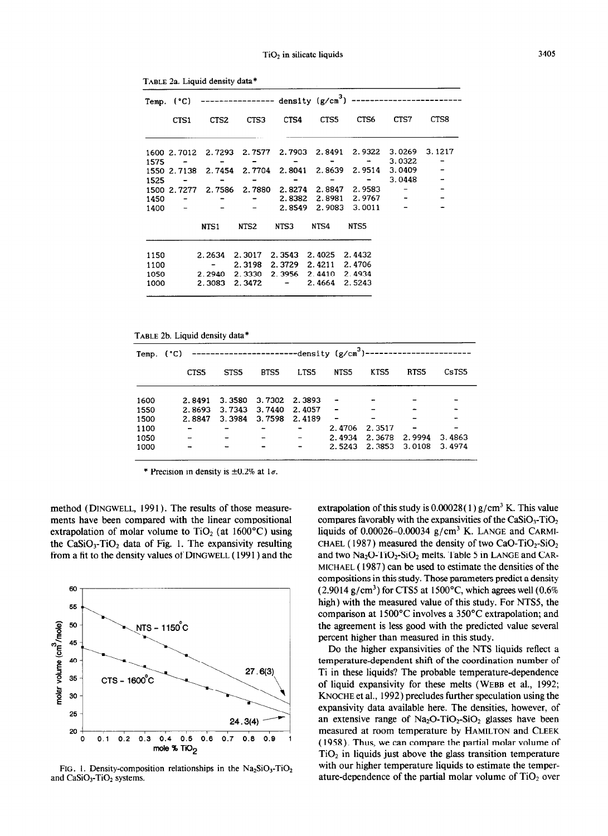|              |              |                                                   |                              |      |                                       | Temp. (°C) ---------------- density (g/cm <sup>3</sup> ) ------------------------ |        |        |
|--------------|--------------|---------------------------------------------------|------------------------------|------|---------------------------------------|-----------------------------------------------------------------------------------|--------|--------|
|              | CTS1         |                                                   | CTS2 CTS3                    | CTS4 | CTS5                                  | CTS6                                                                              | CTS7   | CTS8   |
|              |              |                                                   |                              |      |                                       | 1600 2.7012 2.7293 2.7577 2.7903 2.8491 2.9322 3.0269                             |        | 3.1217 |
|              | $1575 -$     | <b>Service Contract</b>                           | $\qquad \qquad \blacksquare$ |      | $\sim$ 0.000 $\sim$ 0.000 $\sim$      | $\frac{1}{2}$ , and $\frac{1}{2}$ , and $\frac{1}{2}$<br><b>Service</b>           | 3.0322 |        |
|              |              |                                                   |                              |      |                                       | 1550 2.7138 2.7454 2.7704 2.8041 2.8639 2.9514 3.0409                             |        |        |
| 1525         | $\sim$ $  -$ |                                                   |                              |      |                                       | <b>Service Contract Contract Contract</b>                                         | 3.0448 |        |
|              |              |                                                   |                              |      |                                       | 1500 2.7277 2.7586 2.7880 2.8274 2.8847 2.9583 -                                  |        |        |
|              | $1450 -$     |                                                   |                              |      |                                       | $ -$ 2.8382 2.8981 2.9767 $-$                                                     |        |        |
|              | $1400 -$     |                                                   |                              |      |                                       | $ -$ 2.8549 2.9083 3.0011                                                         |        |        |
|              |              | NTS1 NTS2                                         |                              | NTS3 | NTS4 NTS5                             |                                                                                   |        |        |
| 1150<br>1100 |              | 2.2634 2.3017 2.3543 2.4025 2.4432<br>$\sim$ $ -$ | 2.3198                       |      | 2.3729 2.4211 2.4706                  |                                                                                   |        |        |
| 1050         |              | 2.2940                                            |                              |      | 2.3330 2.3956 2.4410 2.4934<br>2.4664 | 2.5243                                                                            |        |        |
| 1000         |              | 2.3083                                            | $2.3472 -$                   |      |                                       |                                                                                   |        |        |

TABLE 2a. Liquid density data\*

TABLE 2b. Liquid density data\*

| Temp. $(°C)$ |        | ------------------------density (g/cm <sup>3</sup> )-------------------- |        |                          |                          |        |        |        |
|--------------|--------|--------------------------------------------------------------------------|--------|--------------------------|--------------------------|--------|--------|--------|
|              | CTS5   | STS <sub>5</sub>                                                         | BTS5   | LTS5                     | NTS5                     | KTS5   | RTS5   | CsTS5  |
|              |        |                                                                          |        |                          |                          |        |        |        |
| 1600         | 2.8491 | 3.3580                                                                   | 3.7302 | 2.3893                   |                          |        |        |        |
| 1550         | 2.8693 | 3.7343                                                                   | 3.7440 | 2.4057                   |                          |        |        |        |
| 1500         | 2.8847 | 3.3984                                                                   | 3.7598 | 2.4189                   | $\overline{\phantom{a}}$ |        |        |        |
| 1100         |        |                                                                          |        | $\overline{\phantom{a}}$ | 2.4706                   | 2.3517 |        |        |
| 1050         |        |                                                                          |        |                          | 2.4934                   | 2.3678 | 2.9994 | 3.4863 |
| 1000         |        |                                                                          |        |                          | 2.5243                   | 2.3853 | 3.0108 | 3.4974 |

\* Precision in density is  $\pm 0.2\%$  at  $1\sigma$ .

method (DINGWELL, 1991). The results of those measurements have been compared with the linear compositional extrapolation of molar volume to  $TiO<sub>2</sub>$  (at 1600°C) using the CaSiO<sub>3</sub>-TiO<sub>2</sub> data of Fig. 1. The expansivity resulting from a fit to the density values of DINGWELL (1991) and the



FIG. 1. Density-composition relationships in the  $Na<sub>2</sub>SiO<sub>3</sub>$ -TiO<sub>2</sub> and CaSiO<sub>3</sub>-TiO<sub>2</sub> systems.

extrapolation of this study is  $0.00028(1)$  g/cm<sup>3</sup> K. This value compares favorably with the expansivities of the  $CaSiO<sub>3</sub>-TiO<sub>2</sub>$ liquids of 0.00026-0.00034  $g/cm<sup>3</sup>$  K. LANGE and CARMI-CHAEL (1987) measured the density of two CaO-TiO<sub>2</sub>-SiO<sub>2</sub> and two Na<sub>2</sub>O-TiO<sub>2</sub>-SiO<sub>2</sub> melts. Table 5 in LANGE and CAR-**MICHAEL (** 1987) can be used to estimate the densities of the compositions in this study. Those parameters predict a density  $(2.9014 \text{ g/cm}^3)$  for CTS5 at 1500°C, which agrees well  $(0.6\%$ high) with the measured value of this study. For NTSS, the comparison at 1500°C involves a 350°C extrapolation; and the agreement is less good with the predicted value several percent higher than measured in this study.

Do the higher expansivities of the NTS liquids reflect a temperature-dependent shift of the coordination number of Ti in these liquids? The probable temperature-dependence of liquid expansivity for these melts **(WEBB** et al., 1992; **KNOCHE** et al., 1992) precludes further speculation using the expansivity data available here. The densities, however, of an extensive range of  $Na<sub>2</sub>O-TiO<sub>2</sub>-SiO<sub>2</sub>$  glasses have been measured at room temperature by **HAMILTON** and CLEEK ( 1958). Thus, we can compare the partial molar volume of  $TiO<sub>2</sub>$  in liquids just above the glass transition temperature with our higher temperature liquids to estimate the temperature-dependence of the partial molar volume of  $TiO<sub>2</sub>$  over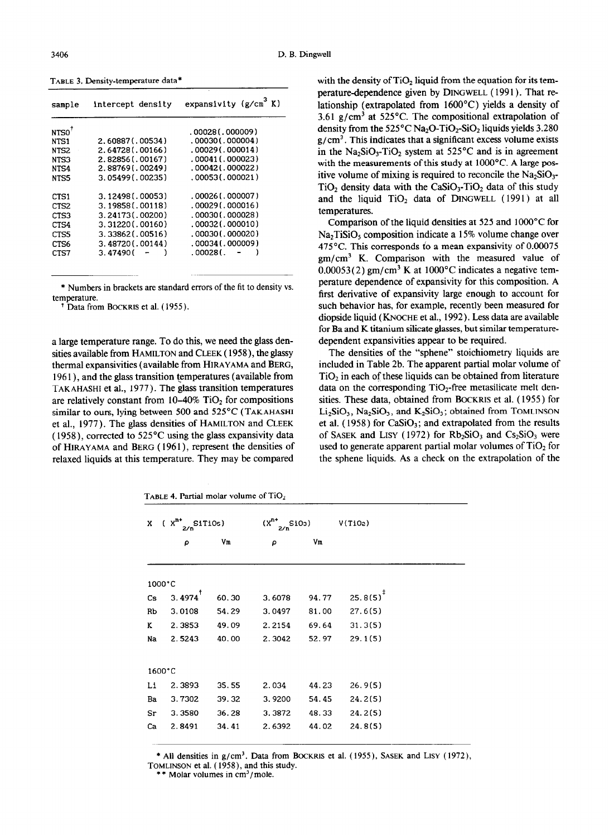TABLE 3. Density-temperature data\*

| sample            | intercept density | expansivity $(g/cm^3 K)$ |
|-------------------|-------------------|--------------------------|
| NTSO <sup>†</sup> |                   | .00028(.000009)          |
| NTS1              | 2.60887(.00534)   | $.00030$ ( $.000004$ )   |
| NTS <sub>2</sub>  | 2.64728(.00166)   | .00029(.000014)          |
| NTS3              | 2.82856(.00167)   | .00041(.000023)          |
| NTS4              | 2.88769(.00249)   | .00042(.000022)          |
| NTS5              | 3.05499(0.00235)  | .00053(.000021)          |
| CTS1              | 3.12498(.00053)   | .00026(.000007)          |
| CTS <sub>2</sub>  | 3.19858(.00118)   | .00029(.000016)          |
| CTS3              | 3.24173(.00200)   | $.00030$ $(.000028)$     |
| CTS4              | 3.31220(.00160)   | .00032(.000010)          |
| CTS5              | 3.33862(.00516)   | .00030(.000020)          |
| CTS <sub>6</sub>  | 3.48720(.00144)   | .00034(.000009)          |
| CTS7              | 3.47490 (         | .000281.                 |
|                   |                   |                          |

\* Numbers in brackets are standard errors of the fit to density vs. temperature.

Data from BOCKRIS et al. (1955).

a large temperature range. To do this, we need the glass densities available from HAMILTON and CLEEK ( 1958), the glassy thermal expansivities (available from HIRAYAMA and BERG, 1961), and the glass transition temperatures (available from TAKAHASHI et al., 1977). The glass transition temperatures are relatively constant from  $10-40\%$  TiO<sub>2</sub> for compositions similar to ours, lying between 500 and 525°C ( TAKAHASHI et al., 1977). The glass densities of HAMILTON and CLEEK ( 1958), corrected to 525°C using the glass expansivity data of HIRAYAMA and BERG (1961), represent the densities of relaxed liquids at this temperature. They may be compared

with the density of  $TiO<sub>2</sub>$  liquid from the equation for its temperature-dependence given by DINGWELL (1991). That relationship (extrapolated from 1600°C) yields a density of 3.61 g/cm<sup>3</sup> at 525°C. The compositional extrapolation of density from the  $525^{\circ}$ C Na<sub>2</sub>O-TiO<sub>2</sub>-SiO<sub>2</sub> liquids yields 3.280  $g/cm<sup>3</sup>$ . This indicates that a significant excess volume exists in the  $Na_2SiO_3$ -TiO<sub>2</sub> system at 525<sup>°</sup>C and is in agreement with the measurements of this study at 1000°C. A large positive volume of mixing is required to reconcile the  $Na<sub>2</sub>SiO<sub>3</sub>$ - $TiO<sub>2</sub>$  density data with the CaSiO<sub>3</sub>-TiO<sub>2</sub> data of this study and the liquid  $TiO<sub>2</sub>$  data of DINGWELL (1991) at all temperatures.

Comparison of the liquid densities at 525 and 1000°C for Na<sub>2</sub>TiSiO<sub>s</sub> composition indicate a 15% volume change over 475°C. This corresponds to a mean expansivity of 0.00075  $gm/cm<sup>3</sup>$  K. Comparison with the measured value of  $0.00053(2)$  gm/cm<sup>3</sup> K at 1000<sup>o</sup>C indicates a negative temperature dependence of expansivity for this composition. A first derivative of expansivity large enough to account for such behavior has, for example, recently been measured for diopside liquid ( KNOCHE et al., 1992). Less data are available for Ba and K titanium silicate glasses, but similar temperaturedependent expansivities appear to be required.

The densities of the "sphene" stoichiometry liquids are included in Table 2b. The apparent partial molar volume of  $TiO<sub>2</sub>$  in each of these liquids can be obtained from literature data on the corresponding  $TiO<sub>2</sub>$ -free metasilicate melt densities. These data, obtained from BOCKRIS et al. ( 1955) for  $Li<sub>2</sub>SiO<sub>3</sub>$ , Na<sub>2</sub>SiO<sub>3</sub>, and K<sub>2</sub>SiO<sub>3</sub>; obtained from TOMLINSON et al. (1958) for  $CaSiO<sub>3</sub>$ ; and extrapolated from the results of SASEK and LISY (1972) for  $Rb_2SiO_3$  and  $Cs_2SiO_3$  were used to generate apparent partial molar volumes of TiO<sub>2</sub> for the sphene liquids. As a check on the extrapolation of the

TABLE 4. Partial molar volume of  $TiO<sub>2</sub>$ 

| $(X^{n+1})$<br>SiTiOs)<br>x<br>2/n |        | $(x^{n*}$ | $SiO3$ ) |       |                 |
|------------------------------------|--------|-----------|----------|-------|-----------------|
|                                    | ρ      | Vm        | ρ        | Vm    |                 |
|                                    |        |           |          |       |                 |
|                                    | 1000°C |           |          |       |                 |
| Cs.                                | 3.4974 | 60.30     | 3.6078   | 94.77 | $25.8(5)^{1/2}$ |
| Rb                                 | 3.0108 | 54.29     | 3.0497   | 81.00 | 27.6(5)         |
| K                                  | 2.3853 | 49.09     | 2.2154   | 69.64 | 31.3(5)         |
| Na                                 | 2.5243 | 40.00     | 2.3042   | 52.97 | 29.1(5)         |
|                                    |        |           |          |       |                 |
|                                    | 1600°C |           |          |       |                 |
| Li                                 | 2.3893 | 35.55     | 2.034    | 44.23 | 26.9(5)         |
| Ba                                 | 3.7302 | 39.32     | 3.9200   | 54.45 | 24.2(5)         |
| Sr                                 | 3.3580 | 36.28     | 3.3872   | 48.33 | 24.2(5)         |
| Ca                                 | 2.8491 | 34.41     | 2.6392   | 44.02 | 24.8(5)         |

\* All densities in  $g/cm^3$ . Data from BOCKRIS et al.  $(1955)$ , SASEK and LISY  $(1972)$ , TOMLINSON et al. (1958), and this study.

\* Molar volumes in  $cm<sup>3</sup>/mole$ .